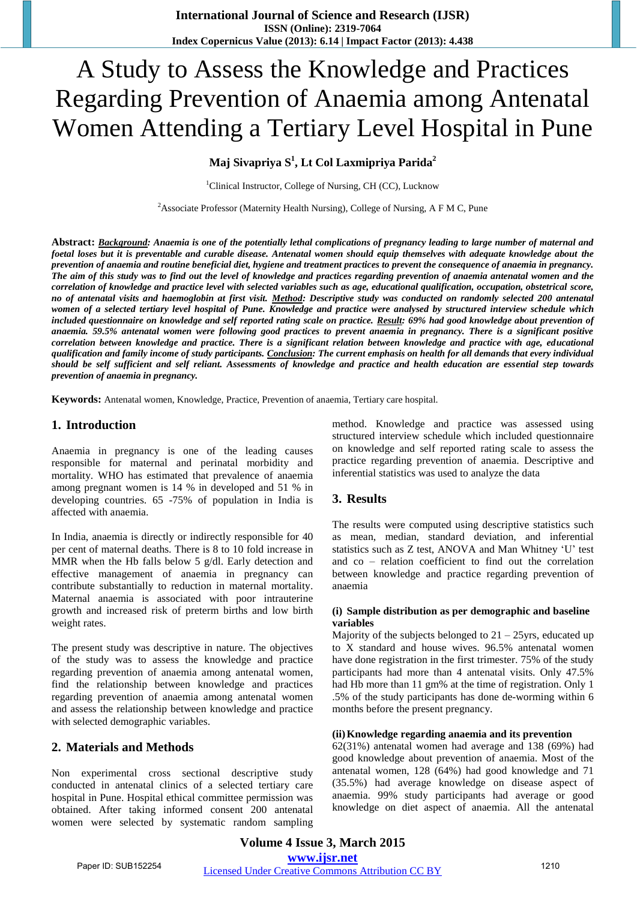# A Study to Assess the Knowledge and Practices Regarding Prevention of Anaemia among Antenatal Women Attending a Tertiary Level Hospital in Pune

## **Maj Sivapriya S<sup>1</sup> , Lt Col Laxmipriya Parida<sup>2</sup>**

<sup>1</sup>Clinical Instructor, College of Nursing, CH (CC), Lucknow

<sup>2</sup>Associate Professor (Maternity Health Nursing), College of Nursing, A F M C, Pune

**Abstract:** *Background: Anaemia is one of the potentially lethal complications of pregnancy leading to large number of maternal and foetal loses but it is preventable and curable disease. Antenatal women should equip themselves with adequate knowledge about the prevention of anaemia and routine beneficial diet, hygiene and treatment practices to prevent the consequence of anaemia in pregnancy. The aim of this study was to find out the level of knowledge and practices regarding prevention of anaemia antenatal women and the correlation of knowledge and practice level with selected variables such as age, educational qualification, occupation, obstetrical score, no of antenatal visits and haemoglobin at first visit. Method: Descriptive study was conducted on randomly selected 200 antenatal women of a selected tertiary level hospital of Pune. Knowledge and practice were analysed by structured interview schedule which included questionnaire on knowledge and self reported rating scale on practice. Result: 69% had good knowledge about prevention of anaemia. 59.5% antenatal women were following good practices to prevent anaemia in pregnancy. There is a significant positive correlation between knowledge and practice. There is a significant relation between knowledge and practice with age, educational qualification and family income of study participants. Conclusion: The current emphasis on health for all demands that every individual should be self sufficient and self reliant. Assessments of knowledge and practice and health education are essential step towards prevention of anaemia in pregnancy.* 

**Keywords:** Antenatal women, Knowledge, Practice, Prevention of anaemia, Tertiary care hospital.

## **1. Introduction**

Anaemia in pregnancy is one of the leading causes responsible for maternal and perinatal morbidity and mortality. WHO has estimated that prevalence of anaemia among pregnant women is 14 % in developed and 51 % in developing countries. 65 -75% of population in India is affected with anaemia.

In India, anaemia is directly or indirectly responsible for 40 per cent of maternal deaths. There is 8 to 10 fold increase in MMR when the Hb falls below 5 g/dl. Early detection and effective management of anaemia in pregnancy can contribute substantially to reduction in maternal mortality. Maternal anaemia is associated with poor intrauterine growth and increased risk of preterm births and low birth weight rates.

The present study was descriptive in nature. The objectives of the study was to assess the knowledge and practice regarding prevention of anaemia among antenatal women, find the relationship between knowledge and practices regarding prevention of anaemia among antenatal women and assess the relationship between knowledge and practice with selected demographic variables.

## **2. Materials and Methods**

Non experimental cross sectional descriptive study conducted in antenatal clinics of a selected tertiary care hospital in Pune. Hospital ethical committee permission was obtained. After taking informed consent 200 antenatal women were selected by systematic random sampling method. Knowledge and practice was assessed using structured interview schedule which included questionnaire on knowledge and self reported rating scale to assess the practice regarding prevention of anaemia. Descriptive and inferential statistics was used to analyze the data

## **3. Results**

The results were computed using descriptive statistics such as mean, median, standard deviation, and inferential statistics such as Z test, ANOVA and Man Whitney 'U' test and co – relation coefficient to find out the correlation between knowledge and practice regarding prevention of anaemia

## **(i) Sample distribution as per demographic and baseline variables**

Majority of the subjects belonged to  $21 - 25$ yrs, educated up to X standard and house wives. 96.5% antenatal women have done registration in the first trimester. 75% of the study participants had more than 4 antenatal visits. Only 47.5% had Hb more than 11 gm% at the time of registration. Only 1 .5% of the study participants has done de-worming within 6 months before the present pregnancy.

#### **(ii)Knowledge regarding anaemia and its prevention**

62(31%) antenatal women had average and 138 (69%) had good knowledge about prevention of anaemia. Most of the antenatal women, 128 (64%) had good knowledge and 71 (35.5%) had average knowledge on disease aspect of anaemia. 99% study participants had average or good knowledge on diet aspect of anaemia. All the antenatal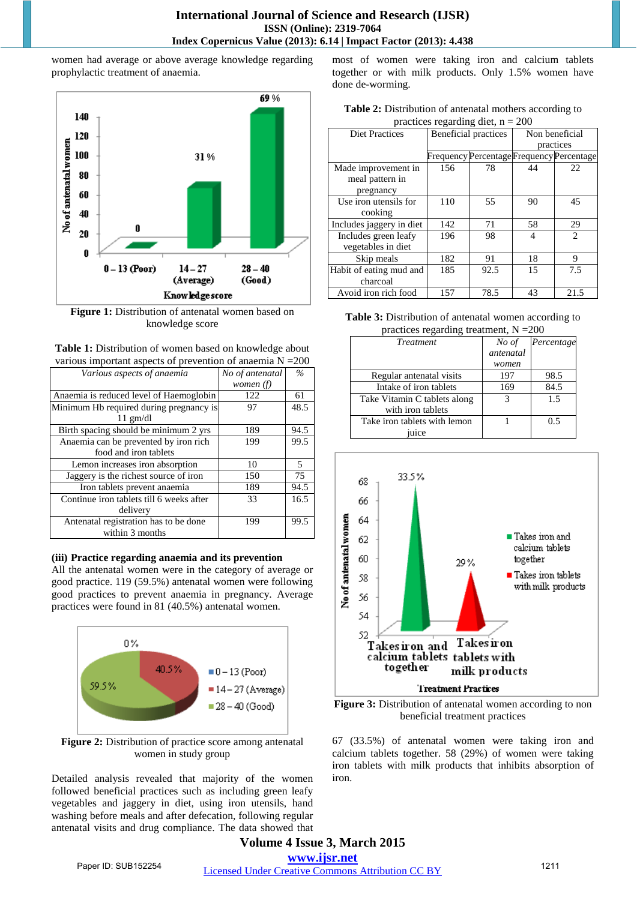women had average or above average knowledge regarding prophylactic treatment of anaemia.



**Figure 1:** Distribution of antenatal women based on knowledge score



| Various aspects of anaemia               | No of antenatal | $\%$ |
|------------------------------------------|-----------------|------|
|                                          | women $(f)$     |      |
| Anaemia is reduced level of Haemoglobin  | 122             | 61   |
| Minimum Hb required during pregnancy is  | 97              | 48.5 |
| $11$ gm/dl                               |                 |      |
| Birth spacing should be minimum 2 yrs    | 189             | 94.5 |
| Anaemia can be prevented by iron rich    | 199             | 99.5 |
| food and iron tablets                    |                 |      |
| Lemon increases iron absorption          | 10              | .5   |
| Jaggery is the richest source of iron    | 150             | 75   |
| Iron tablets prevent anaemia             | 189             | 94.5 |
| Continue iron tablets till 6 weeks after | 33              | 16.5 |
| delivery                                 |                 |      |
| Antenatal registration has to be done    | 199             | 99.5 |
| within 3 months                          |                 |      |

## **(iii) Practice regarding anaemia and its prevention**

All the antenatal women were in the category of average or good practice. 119 (59.5%) antenatal women were following good practices to prevent anaemia in pregnancy. Average practices were found in 81 (40.5%) antenatal women.



**Figure 2:** Distribution of practice score among antenatal women in study group

Detailed analysis revealed that majority of the women followed beneficial practices such as including green leafy vegetables and jaggery in diet, using iron utensils, hand washing before meals and after defecation, following regular antenatal visits and drug compliance. The data showed that most of women were taking iron and calcium tablets together or with milk products. Only 1.5% women have done de-worming.

| <b>Table 2:</b> Distribution of antenatal mothers according to |
|----------------------------------------------------------------|
| practices regarding diet, $n = 200$                            |

| <b>Diet Practices</b>    | Beneficial practices |                                           | Non beneficial |               |  |  |  |
|--------------------------|----------------------|-------------------------------------------|----------------|---------------|--|--|--|
|                          |                      |                                           | practices      |               |  |  |  |
|                          |                      | Frequency Percentage Frequency Percentage |                |               |  |  |  |
| Made improvement in      | 156                  | 78                                        | 44             | 22            |  |  |  |
| meal pattern in          |                      |                                           |                |               |  |  |  |
| pregnancy                |                      |                                           |                |               |  |  |  |
| Use iron utensils for    | 110                  | 55                                        | 90             | 45            |  |  |  |
| cooking                  |                      |                                           |                |               |  |  |  |
| Includes jaggery in diet | 142                  | 71                                        | 58             | 29            |  |  |  |
| Includes green leafy     | 196                  | 98                                        | 4              | $\mathcal{L}$ |  |  |  |
| vegetables in diet       |                      |                                           |                |               |  |  |  |
| Skip meals               | 182                  | 91                                        | 18             | 9             |  |  |  |
| Habit of eating mud and  | 185                  | 92.5                                      | 15             | 7.5           |  |  |  |
| charcoal                 |                      |                                           |                |               |  |  |  |
| Avoid iron rich food     | 157                  | 78.5                                      | 43             | 21.5          |  |  |  |

**Table 3:** Distribution of antenatal women according to  $p_{\text{max}}$  treatment,  $N = 200$ 

| <b>Treatment</b>             | No of     | Percentage |  |
|------------------------------|-----------|------------|--|
|                              | antenatal |            |  |
|                              | women     |            |  |
| Regular antenatal visits     | 197       | 98.5       |  |
| Intake of iron tablets       | 169       | 84.5       |  |
| Take Vitamin C tablets along | 3         | 1.5        |  |
| with iron tablets            |           |            |  |
| Take iron tablets with lemon |           | 0.5        |  |
| u <sub>1</sub> ce            |           |            |  |



**Figure 3:** Distribution of antenatal women according to non beneficial treatment practices

67 (33.5%) of antenatal women were taking iron and calcium tablets together. 58 (29%) of women were taking iron tablets with milk products that inhibits absorption of iron.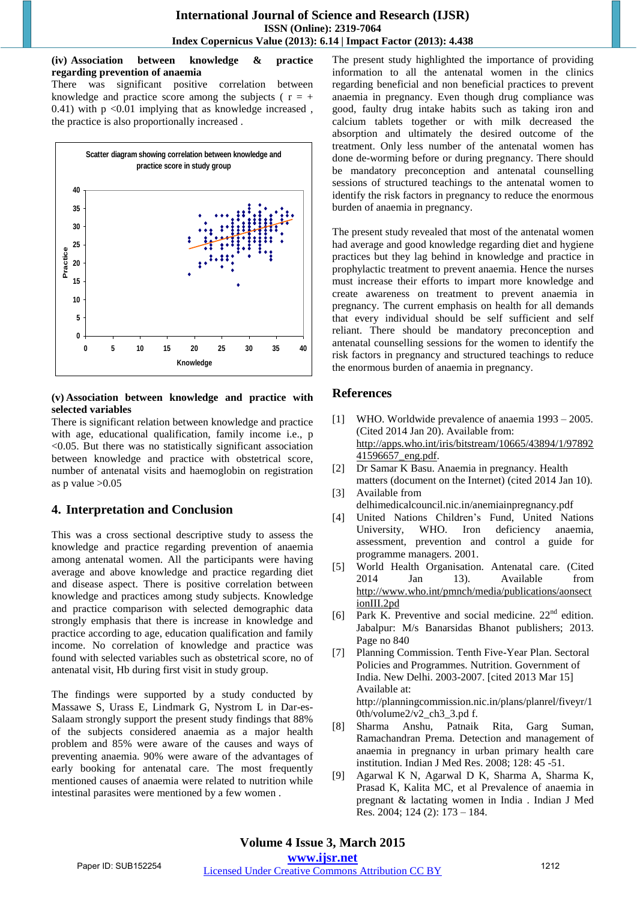**(iv) Association between knowledge & practice regarding prevention of anaemia** 

There was significant positive correlation between knowledge and practice score among the subjects ( $r = +$ 0.41) with p <0.01 implying that as knowledge increased , the practice is also proportionally increased .



## **(v) Association between knowledge and practice with selected variables**

There is significant relation between knowledge and practice with age, educational qualification, family income i.e., p  $\leq 0.05$ . But there was no statistically significant association between knowledge and practice with obstetrical score, number of antenatal visits and haemoglobin on registration as p value  $>0.05$ 

# **4. Interpretation and Conclusion**

This was a cross sectional descriptive study to assess the knowledge and practice regarding prevention of anaemia among antenatal women. All the participants were having average and above knowledge and practice regarding diet and disease aspect. There is positive correlation between knowledge and practices among study subjects. Knowledge and practice comparison with selected demographic data strongly emphasis that there is increase in knowledge and practice according to age, education qualification and family income. No correlation of knowledge and practice was found with selected variables such as obstetrical score, no of antenatal visit, Hb during first visit in study group.

The findings were supported by a study conducted by Massawe S, Urass E, Lindmark G, Nystrom L in Dar-es-Salaam strongly support the present study findings that 88% of the subjects considered anaemia as a major health problem and 85% were aware of the causes and ways of preventing anaemia. 90% were aware of the advantages of early booking for antenatal care. The most frequently mentioned causes of anaemia were related to nutrition while intestinal parasites were mentioned by a few women .

The present study highlighted the importance of providing information to all the antenatal women in the clinics regarding beneficial and non beneficial practices to prevent anaemia in pregnancy. Even though drug compliance was good, faulty drug intake habits such as taking iron and calcium tablets together or with milk decreased the absorption and ultimately the desired outcome of the treatment. Only less number of the antenatal women has done de-worming before or during pregnancy. There should be mandatory preconception and antenatal counselling sessions of structured teachings to the antenatal women to identify the risk factors in pregnancy to reduce the enormous burden of anaemia in pregnancy.

The present study revealed that most of the antenatal women had average and good knowledge regarding diet and hygiene practices but they lag behind in knowledge and practice in prophylactic treatment to prevent anaemia. Hence the nurses must increase their efforts to impart more knowledge and create awareness on treatment to prevent anaemia in pregnancy. The current emphasis on health for all demands that every individual should be self sufficient and self reliant. There should be mandatory preconception and antenatal counselling sessions for the women to identify the risk factors in pregnancy and structured teachings to reduce the enormous burden of anaemia in pregnancy.

# **References**

- [1] WHO. Worldwide prevalence of anaemia 1993 2005. (Cited 2014 Jan 20). Available from: [http://apps.who.int/iris/bitstream/10665/43894/1/97892](http://apps.who.int/iris/bitstream/10665/43894/1/9789241596657_eng.pdf) [41596657\\_eng.pdf.](http://apps.who.int/iris/bitstream/10665/43894/1/9789241596657_eng.pdf)
- [2] Dr Samar K Basu. Anaemia in pregnancy. Health matters (document on the Internet) (cited 2014 Jan 10). [3] Available from
- delhimedicalcouncil.nic.in/anemiainpregnancy.pdf
- [4] United Nations Children's Fund, United Nations University, WHO. Iron deficiency anaemia, assessment, prevention and control a guide for programme managers. 2001.
- [5] World Health Organisation. Antenatal care. (Cited 2014 Jan 13). Available from [http://www.who.int/pmnch/media/publications/aonsect](http://www.who.int/pmnch/media/publications/aonsectionIII.2pd) [ionIII.2pd](http://www.who.int/pmnch/media/publications/aonsectionIII.2pd)
- [6] Park K. Preventive and social medicine. 22<sup>nd</sup> edition. Jabalpur: M/s Banarsidas Bhanot publishers; 2013. Page no 840
- [7] Planning Commission. Tenth Five-Year Plan. Sectoral Policies and Programmes. Nutrition. Government of India. New Delhi. 2003-2007. [cited 2013 Mar 15] Available at: http://planningcommission.nic.in/plans/planrel/fiveyr/1 0th/volume $2/v2$  ch3 3.pd f.
- [8] Sharma Anshu, Patnaik Rita, Garg Suman, Ramachandran Prema. Detection and management of anaemia in pregnancy in urban primary health care institution. Indian J Med Res. 2008; 128: 45 -51.
- [9] Agarwal K N, Agarwal D K, Sharma A, Sharma K, Prasad K, Kalita MC, et al Prevalence of anaemia in pregnant & lactating women in India . Indian J Med Res. 2004; 124 (2): 173 – 184.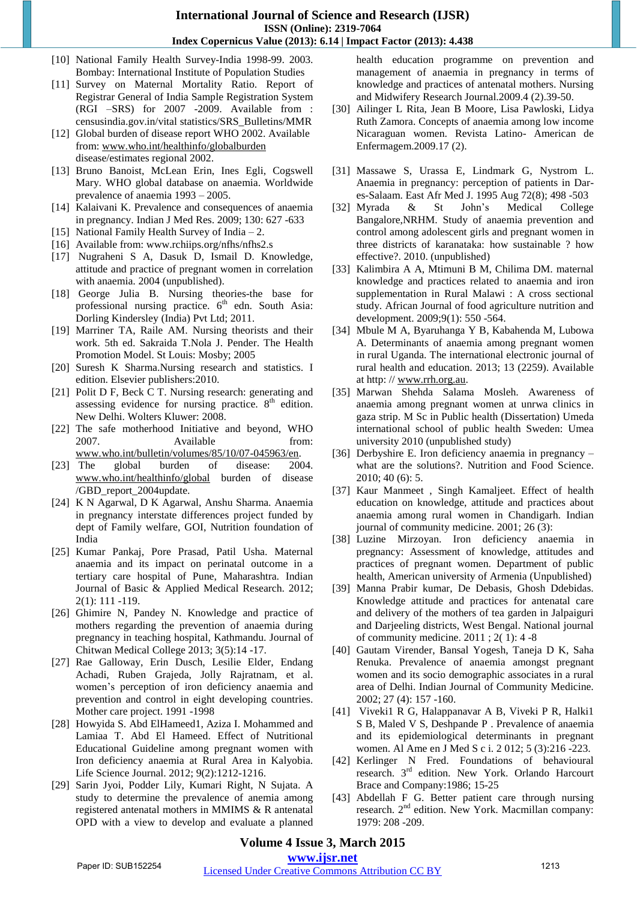## **International Journal of Science and Research (IJSR) ISSN (Online): 2319-7064 Index Copernicus Value (2013): 6.14 | Impact Factor (2013): 4.438**

- [10] National Family Health Survey-India 1998-99. 2003. Bombay: International Institute of Population Studies
- [11] Survey on Maternal Mortality Ratio. Report of Registrar General of India Sample Registration System (RGI –SRS) for 2007 -2009. Available from : censusindia.gov.in/vital statistics/SRS\_Bulletins/MMR
- [12] Global burden of disease report WHO 2002. Available from: [www.who.int/healthinfo/globalburden](http://www.who.int/healthinfo/globalburden) disease/estimates regional 2002.
- [13] Bruno Banoist, McLean Erin, Ines Egli, Cogswell Mary. WHO global database on anaemia. Worldwide prevalence of anaemia 1993 – 2005.
- [14] Kalaivani K. Prevalence and consequences of anaemia in pregnancy. Indian J Med Res. 2009; 130: 627 -633
- [15] National Family Health Survey of India 2.
- [16] Available from: www.rchiips.org/nfhs/nfhs2.s
- [17] Nugraheni S A, Dasuk D, Ismail D. Knowledge, attitude and practice of pregnant women in correlation with anaemia. 2004 (unpublished).
- [18] George Julia B. Nursing theories-the base for professional nursing practice.  $6<sup>th</sup>$  edn. South Asia: Dorling Kindersley (India) Pvt Ltd; 2011.
- [19] Marriner TA, Raile AM. Nursing theorists and their work. 5th ed. Sakraida T.Nola J. Pender. The Health Promotion Model. St Louis: Mosby; 2005
- [20] Suresh K Sharma.Nursing research and statistics. I edition. Elsevier publishers:2010.
- [21] Polit D F, Beck C T. Nursing research: generating and assessing evidence for nursing practice.  $8<sup>th</sup>$  edition. New Delhi. Wolters Kluwer: 2008.
- [22] The safe motherhood Initiative and beyond, WHO 2007. Available from: [www.who.int/bulletin/volumes/85/10/07-045963/en.](http://www.who.int/bulletin/volumes/85/10/07-045963/en)
- [23] The global burden of disease: 2004. [www.who.int/healthinfo/global](http://www.who.int/healthinfo/global) burden of disease /GBD\_report\_2004update.
- [24] K N Agarwal, D K Agarwal, Anshu Sharma. Anaemia in pregnancy interstate differences project funded by dept of Family welfare, GOI, Nutrition foundation of India
- [25] Kumar Pankaj, Pore Prasad, Patil Usha. Maternal anaemia and its impact on perinatal outcome in a tertiary care hospital of Pune, Maharashtra. Indian Journal of Basic & Applied Medical Research. 2012; 2(1): 111 -119.
- [26] Ghimire N, Pandey N. Knowledge and practice of mothers regarding the prevention of anaemia during pregnancy in teaching hospital, Kathmandu. Journal of Chitwan Medical College 2013; 3(5):14 -17.
- [27] Rae Galloway, Erin Dusch, Lesilie Elder, Endang Achadi, Ruben Grajeda, Jolly Rajratnam, et al. women's perception of iron deficiency anaemia and prevention and control in eight developing countries. Mother care project. 1991 -1998
- [28] Howyida S. Abd ElHameed1, Aziza I. Mohammed and Lamiaa T. Abd El Hameed. Effect of Nutritional Educational Guideline among pregnant women with Iron deficiency anaemia at Rural Area in Kalyobia. Life Science Journal. 2012; 9(2):1212-1216.
- [29] Sarin Jyoi, Podder Lily, Kumari Right, N Sujata. A study to determine the prevalence of anemia among registered antenatal mothers in MMIMS & R antenatal OPD with a view to develop and evaluate a planned

health education programme on prevention and management of anaemia in pregnancy in terms of knowledge and practices of antenatal mothers. Nursing and Midwifery Research Journal.2009.4 (2).39-50.

- [30] Ailinger L Rita, Jean B Moore, Lisa Pawloski, Lidya Ruth Zamora. Concepts of anaemia among low income Nicaraguan women. Revista Latino- American de Enfermagem.2009.17 (2).
- [31] Massawe S, Urassa E, Lindmark G, Nystrom L. Anaemia in pregnancy: perception of patients in Dares-Salaam. East Afr Med J. 1995 Aug 72(8); 498 -503
- [32] Myrada & St John's Medical College Bangalore,NRHM. Study of anaemia prevention and control among adolescent girls and pregnant women in three districts of karanataka: how sustainable ? how effective?. 2010. (unpublished)
- [33] Kalimbira A A, Mtimuni B M, Chilima DM. maternal knowledge and practices related to anaemia and iron supplementation in Rural Malawi : A cross sectional study. African Journal of food agriculture nutrition and development. 2009;9(1): 550 -564.
- [34] Mbule M A, Byaruhanga Y B, Kabahenda M, Lubowa A. Determinants of anaemia among pregnant women in rural Uganda. The international electronic journal of rural health and education. 2013; 13 (2259). Available at http: // [www.rrh.org.au.](http://www.rrh.org.au/)
- [35] Marwan Shehda Salama Mosleh. Awareness of anaemia among pregnant women at unrwa clinics in gaza strip. M Sc in Public health (Dissertation) Umeda international school of public health Sweden: Umea university 2010 (unpublished study)
- [36] Derbyshire E. Iron deficiency anaemia in pregnancy what are the solutions?. Nutrition and Food Science. 2010; 40 (6): 5.
- [37] Kaur Manmeet , Singh Kamaljeet. Effect of health education on knowledge, attitude and practices about anaemia among rural women in Chandigarh. Indian journal of community medicine. 2001; 26 (3):
- [38] Luzine Mirzoyan. Iron deficiency anaemia in pregnancy: Assessment of knowledge, attitudes and practices of pregnant women. Department of public health, American university of Armenia (Unpublished)
- [39] Manna Prabir kumar, De Debasis, Ghosh Ddebidas. Knowledge attitude and practices for antenatal care and delivery of the mothers of tea garden in Jalpaiguri and Darjeeling districts, West Bengal. National journal of community medicine. 2011 ; 2( 1): 4 -8
- [40] Gautam Virender, Bansal Yogesh, Taneja D K, Saha Renuka. Prevalence of anaemia amongst pregnant women and its socio demographic associates in a rural area of Delhi. Indian Journal of Community Medicine. 2002; 27 (4): 157 -160.
- [41] Viveki1 R G, Halappanavar A B, Viveki P R, Halki1 S B, Maled V S, Deshpande P . Prevalence of anaemia and its epidemiological determinants in pregnant women. Al Ame en J Med S c i. 2 012; 5 (3):216 -223.
- [42] Kerlinger N Fred. Foundations of behavioural research. 3rd edition. New York. Orlando Harcourt Brace and Company:1986; 15-25
- [43] Abdellah F G. Better patient care through nursing research. 2<sup>nd</sup> edition. New York. Macmillan company: 1979: 208 -209.